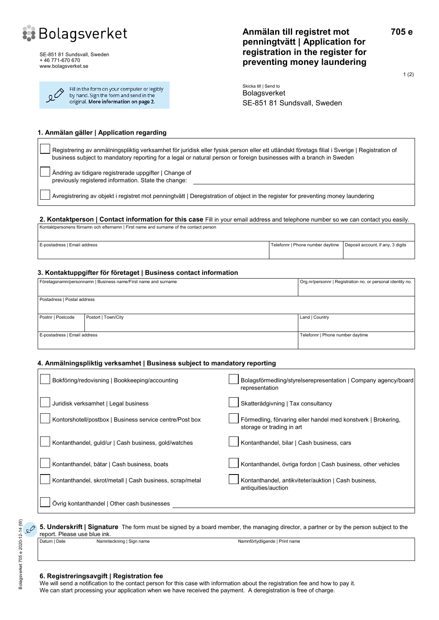

SE-851 81 Sundsvall, Sweden + 46 771-670 670 www.bolagsverket.se

| $\Omega^{\hat{\mathcal{O}}}$ | Fill in the form on your computer or legibly<br>by hand. Sign the form and send in the |
|------------------------------|----------------------------------------------------------------------------------------|
|                              | original. More information on page 2.                                                  |

# **Anmälan till registret mot penningtvätt | Application for registration in the register for preventing money laundering**

1 (2)

**705 e**

Skicka till | Send to Bolagsverket SE-851 81 Sundsvall, Sweden

#### **1. Anmälan gäller | Application regarding**

Registrering av anmälningspliktig verksamhet för juridisk eller fysisk person eller ett utländskt företags filial i Sverige | Registration of business subject to mandatory reporting for a legal or natural person or foreign businesses with a branch in Sweden

Ändring av tidigare registrerade uppgifter | Change of previously registered information. State the change:

Avregistrering av objekt i registret mot penningtvätt | Deregistration of object in the register for preventing money laundering

#### **2. Kontaktperson | Contact information for this case** Fill in your email address and telephone number so we can contact you easily.

Kontaktpersonens förnamn och efternamn | First name and surname of the contact person E-postadress | Email address | Email address | Telefonnr | Phone number daytime | Deposit account, if any, 3 digits

#### **3. Kontaktuppgifter för företaget | Business contact information**

| Företagsnamn/personnamn   Business name/First name and surname |                     | Org.nr/personnr   Registration no. or personal identity no. |  |
|----------------------------------------------------------------|---------------------|-------------------------------------------------------------|--|
|                                                                |                     |                                                             |  |
| Postadress   Postal address                                    |                     |                                                             |  |
|                                                                |                     |                                                             |  |
| Postnr   Postcode                                              | Postort   Town/City | Land   Country                                              |  |
|                                                                |                     |                                                             |  |
| E-postadress   Email address                                   |                     | Telefonnr   Phone number daytime                            |  |
|                                                                |                     |                                                             |  |

#### **4. Anmälningspliktig verksamhet | Business subject to mandatory reporting**

| Bokföring/redovisning   Bookkeeping/accounting           | Bolagsförmedling/styrelserepresentation   Company agency/board<br>representation           |
|----------------------------------------------------------|--------------------------------------------------------------------------------------------|
| Juridisk verksamhet   Legal business                     | Skatterådgivning   Tax consultancy                                                         |
| Kontorshotell/postbox   Business service centre/Post box | Förmedling, förvaring eller handel med konstverk   Brokering,<br>storage or trading in art |
| Kontanthandel, guld/ur   Cash business, gold/watches     | Kontanthandel, bilar   Cash business, cars                                                 |
| Kontanthandel, båtar   Cash business, boats              | Kontanthandel, övriga fordon   Cash business, other vehicles                               |
| Kontanthandel, skrot/metall   Cash business, scrap/metal | Kontanthandel, antikviteter/auktion   Cash business,<br>antiquities/auction                |
| Övrig kontanthandel   Other cash businesses              |                                                                                            |

#### report. Please use blue ink. Datum | Date Namnteckning | Sign name Namnteckning | Sign name Namnförtydligande | Print name

**5. Underskrift | Signature** The form must be signed by a board member, the managing director, a partner or by the person subject to the

#### **6. Registreringsavgift | Registration fee**

We will send a notification to the contact person for this case with information about the registration fee and how to pay it. We can start processing your application when we have received the payment. A deregistration is free of charge.